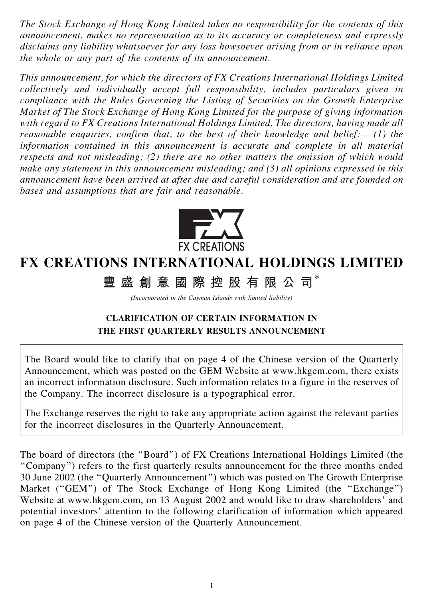The Stock Exchange of Hong Kong Limited takes no responsibility for the contents of this announcement, makes no representation as to its accuracy or completeness and expressly disclaims any liability whatsoever for any loss howsoever arising from or in reliance upon the whole or any part of the contents of its announcement.

This announcement, for which the directors of FX Creations International Holdings Limited collectively and individually accept full responsibility, includes particulars given in compliance with the Rules Governing the Listing of Securities on the Growth Enterprise Market of The Stock Exchange of Hong Kong Limited for the purpose of giving information with regard to FX Creations International Holdings Limited. The directors, having made all reasonable enquiries, confirm that, to the best of their knowledge and belief: $\leftarrow$  (1) the information contained in this announcement is accurate and complete in all material respects and not misleading; (2) there are no other matters the omission of which would make any statement in this announcement misleading; and (3) all opinions expressed in this announcement have been arrived at after due and careful consideration and are founded on bases and assumptions that are fair and reasonable.



## FX CREATIONS INTERNATIONAL HOLDINGS LIMITED

豐盛創意國際控股有限公司

(Incorporated in the Cayman Islands with limited liability)

## CLARIFICATION OF CERTAIN INFORMATION IN THE FIRST QUARTERLY RESULTS ANNOUNCEMENT

The Board would like to clarify that on page 4 of the Chinese version of the Quarterly Announcement, which was posted on the GEM Website at www.hkgem.com, there exists an incorrect information disclosure. Such information relates to a figure in the reserves of the Company. The incorrect disclosure is a typographical error.

The Exchange reserves the right to take any appropriate action against the relevant parties for the incorrect disclosures in the Quarterly Announcement.

The board of directors (the ''Board'') of FX Creations International Holdings Limited (the ''Company'') refers to the first quarterly results announcement for the three months ended 30 June 2002 (the ''Quarterly Announcement'') which was posted on The Growth Enterprise Market ("GEM") of The Stock Exchange of Hong Kong Limited (the "Exchange") Website at www.hkgem.com, on 13 August 2002 and would like to draw shareholders' and potential investors' attention to the following clarification of information which appeared on page 4 of the Chinese version of the Quarterly Announcement.